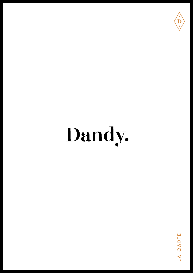

### Dandy.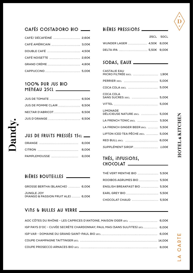

#### Cafés Costadoro BIO Bières pressions

| CAFÉ/ DÉCAFÉINÉ  2,60€ |  |
|------------------------|--|
| CAFÉ AMÉRICAIN  3,00€  |  |
|                        |  |
| CAFÉ NOISETTE  2,60€   |  |
|                        |  |
|                        |  |

#### 100% Pur jus BIO Meneau 25cl

| JUS DE POMME CLAIR  6,50€ |  |
|---------------------------|--|
| NECTAR D'ABRICOT 6,50€    |  |
| JUS D'ORANGE  6,50€       |  |

#### JUS DE FRUITS PRESSÉS 15cl \_

| PAMPLEMOUSSE  8.00€ |  |
|---------------------|--|

#### BIÈRES BOUTEILLES

Jandy.

| GROSSE BERTHA (BLANCHE)  6,00€                   |  |
|--------------------------------------------------|--|
| JUNGLE JOY<br>(MANGO & PASSION FRUIT ALE)  6,00€ |  |

#### Vins & Bulles au verre

|                           | <b>25CL 50CL</b> |
|---------------------------|------------------|
| WUNDER LAGER  4.50€ 8.00€ |                  |
| DELTA IPA  5,50€ 9,00€    |                  |

#### Sodas, Eaux

| <b>CASTALIE EAU</b>               |  |
|-----------------------------------|--|
| MICRO FILTRÉE 50CL  1,90€         |  |
|                                   |  |
|                                   |  |
| COCA COLA                         |  |
| SANS SUCRES 33CL  5,00€           |  |
| VITTEL ……………………………………… 5,00€      |  |
| <b>LIMONADE</b>                   |  |
| DÉLICIEUSE NATURE 25CL  5,00€     |  |
| LA FRENCH TONIC 25CL  5,50€       |  |
| LA FRENCH GINGER BEER 25CL  5,50€ |  |
| LIPTON ICED TEA PÊCHE 25CL  5,00€ |  |
| RED BULL 25CL  6,00€              |  |
| SUPPLÉMENT SIROP  1,00€           |  |
|                                   |  |

#### Thés, infusions, CHOCOLAT

| THÉ VERT MENTHE BIO  5,50€   |  |
|------------------------------|--|
| ROOIBOS AGRUMES BIO  5,50€   |  |
| ENGLISH BREAKFAST BIO  5,50€ |  |
|                              |  |
| CHOCOLAT CHAUD  5,50€        |  |

| AOC CÔTES DU RHÔNE - LES CAPRICES D'ANTOINE, MAISON OGER 12CL  6,00€           |  |
|--------------------------------------------------------------------------------|--|
| IGP PAYS D'OC - CUVÉE SECRÈTE CHARDONNAY, PAUL MAS (SANS SULFITES) 12CL  6,00€ |  |
|                                                                                |  |
|                                                                                |  |
|                                                                                |  |

## LA CARTE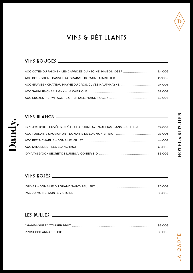

### VINS & PÉTILLaNTS

#### VINS ROUGES

| AOC CÔTES DU RHÔNE - LES CAPRICES D'ANTOINE, MAISON OGER  24,00€ |  |
|------------------------------------------------------------------|--|
|                                                                  |  |
|                                                                  |  |
|                                                                  |  |
|                                                                  |  |

#### VINS BLaNCS

Dandy.

| IGP PAYS D'OC - CUVÉE SECRÈTE CHARDONNAY, PAUL MAS (SANS SULFITES)  24,00€ |  |
|----------------------------------------------------------------------------|--|
|                                                                            |  |
|                                                                            |  |
|                                                                            |  |
|                                                                            |  |

#### VINS ROSÉS

#### LES BULLES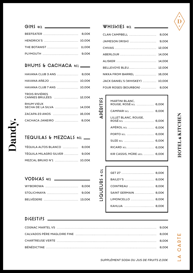#### GINS 4CL\_

| THE BOTANIST  11,00€ |  |
|----------------------|--|
|                      |  |

#### RHUMS & CaCHaCa 4cl

| HAVANA CLUB 3 ANS                              | 8.00€ |
|------------------------------------------------|-------|
| HAVANA AÑEJO  10,00€                           |       |
| HAVANA CLUB 7 ANS  10.00€                      |       |
| <b>TROIS RIVIÈRES</b>                          |       |
| <b>RHUM VIEUX</b><br>SECHA DE LA SILVA  14,00€ |       |
| ZACAPA 23 ANOS  16,00€                         |       |
| CACHACA JANEIRO                                | 8.00€ |
|                                                |       |

#### TEQUILaS & MEZCaLS 4cl

| TÉQUILA ALTOS BLANCO  8,00€   |  |
|-------------------------------|--|
| TÉQUILA MILAGRO SILVER  9,00€ |  |
| MEZCAL BRUXO N°1  10,00€      |  |

VODKAS 4CL.

vbure

#### WHISKIES 4CL.

| CLAN CAMPBELL  8,00€            |  |
|---------------------------------|--|
|                                 |  |
|                                 |  |
|                                 |  |
|                                 |  |
| BELLEVOYE BLEU 12,00€           |  |
| NIKKA FROM BARREL  16,00€       |  |
| JACK DANIEL'S (WHISKEY)  10.00€ |  |
| FOUR ROSES (BOURBON)  8,00€     |  |

#### MARTINI BLANC, ROUGE, ROSÉ 5 $c$ L .................. 6,00€ CAMPARI 5CL ....................... 6,00€ LILLET BLANC, ROUGE, ROSÉ 5c∟ ………………………… 6,00€ APĖROL 5c∟ …………………… 6,00€ PORTO 5cL ............................ 6,00€ SUZE 5CL 6,00€ RICARD 3CL .............................. 6,00€ KIR CASSIS, MÛRE 12CL 6,00€

| GET 27 …………………………… 8,00€ |
|--------------------------|
| BAILEY'S  8,00€          |
| COINTREAU  8,00€         |
| SAINT GERMAIN  8,00€     |
| LIMONCELLO  8,00€        |
| KAHLUA ………………………… 8,00€  |
|                          |

#### DiGESTIFS

LIQUEURS 4 CL

**IQUEURS 4 CL** 

**ADÉDITIFS** 

CARTE

 $\overline{A}$